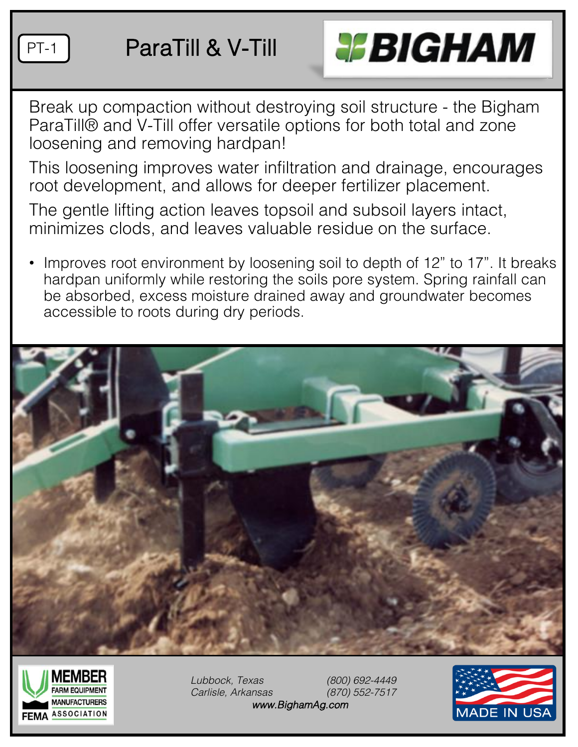

### PT-1 | ParaTill & V-Till



Break up compaction without destroying soil structure - the Bigham ParaTill® and V-Till offer versatile options for both total and zone loosening and removing hardpan!

This loosening improves water infiltration and drainage, encourages root development, and allows for deeper fertilizer placement.

The gentle lifting action leaves topsoil and subsoil layers intact, minimizes clods, and leaves valuable residue on the surface.

Improves root environment by loosening soil to depth of 12" to 17". It breaks hardpan uniformly while restoring the soils pore system. Spring rainfall can be absorbed, excess moisture drained away and groundwater becomes accessible to roots during dry periods.





*Lubbock, Texas (800) 692-4449 Carlisle, Arkansas (870) 552-7517 www.BighamAg.com*

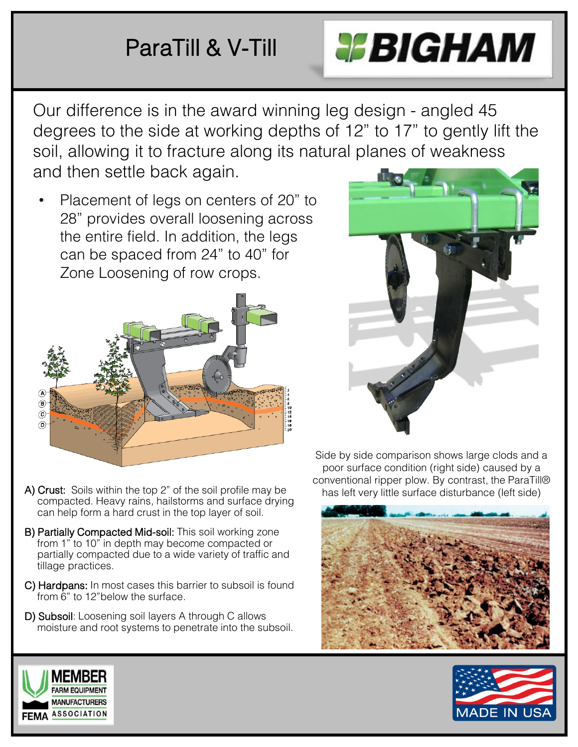## ParaTill & V-Till



Our difference is in the award winning leg design - angled 45 degrees to the side at working depths of 12" to 17" to gently lift the soil, allowing it to fracture along its natural planes of weakness and then settle back again.

• Placement of legs on centers of 20" to 28" provides overall loosening across the entire field. In addition, the legs can be spaced from 24" to 40" for Zone Loosening of row crops.



- A) Crust: Soils within the top 2" of the soil profile may be compacted. Heavy rains, hailstorms and surface drying can help form a hard crust in the top layer of soil.
- B) Partially Compacted Mid-soil: This soil working zone from 1" to 10" in depth may become compacted or partially compacted due to a wide variety of traffic and tillage practices.
- C) Hardpans: In most cases this barrier to subsoil is found from 6" to 12"below the surface.
- D) Subsoil: Loosening soil layers A through C allows moisture and root systems to penetrate into the subsoil.

Side by side comparison shows large clods and a poor surface condition (right side) caused by a conventional ripper plow. By contrast, the ParaTill® has left very little surface disturbance (left side)





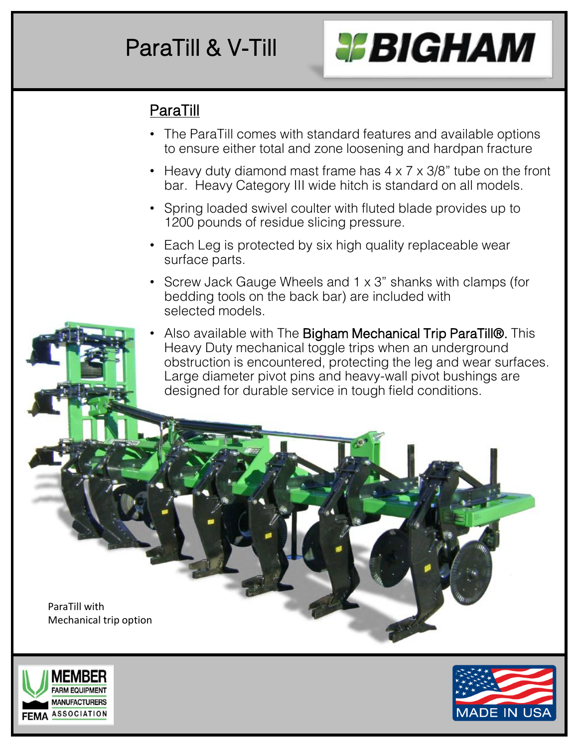## ParaTill & V-Till



#### ParaTill

- The ParaTill comes with standard features and available options to ensure either total and zone loosening and hardpan fracture
- Heavy duty diamond mast frame has  $4 \times 7 \times 3/8$ " tube on the front bar. Heavy Category III wide hitch is standard on all models.
- Spring loaded swivel coulter with fluted blade provides up to 1200 pounds of residue slicing pressure.
- Each Leg is protected by six high quality replaceable wear surface parts.
- Screw Jack Gauge Wheels and 1 x 3" shanks with clamps (for bedding tools on the back bar) are included with selected models.
- Also available with The Bigham Mechanical Trip ParaTill®. This Heavy Duty mechanical toggle trips when an underground obstruction is encountered, protecting the leg and wear surfaces. Large diameter pivot pins and heavy-wall pivot bushings are designed for durable service in tough field conditions.

ParaTill with Mechanical trip option